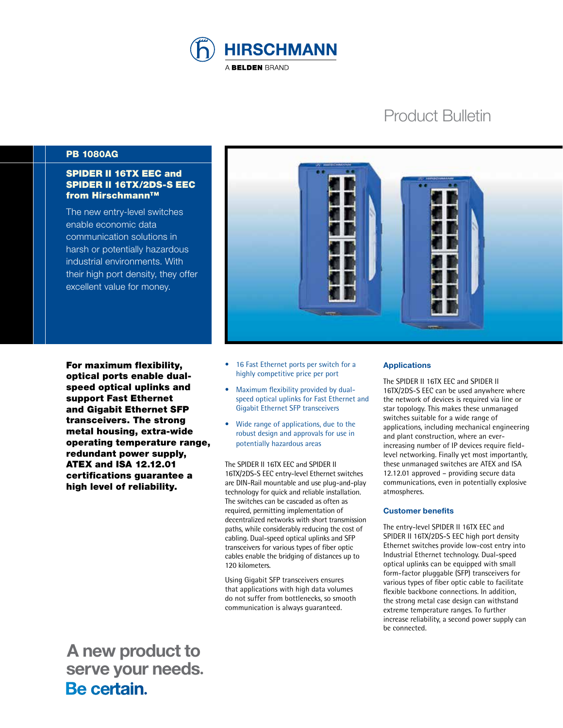

# Product Bulletin

## PB 1080AG

## SPIDER II 16TX EEC and SPIDER II 16TX/2DS-S EEC from Hirschmann™

The new entry-level switches enable economic data communication solutions in harsh or potentially hazardous industrial environments. With their high port density, they offer excellent value for money.

For maximum flexibility, optical ports enable dualspeed optical uplinks and support Fast Ethernet and Gigabit Ethernet SFP transceivers. The strong metal housing, extra-wide operating temperature range, redundant power supply, ATEX and ISA 12.12.01 certifications guarantee a high level of reliability.



- 16 Fast Ethernet ports per switch for a highly competitive price per port
- Maximum flexibility provided by dualspeed optical uplinks for Fast Ethernet and Gigabit Ethernet SFP transceivers
- Wide range of applications, due to the robust design and approvals for use in potentially hazardous areas

The SPIDER II 16TX EEC and SPIDER II 16TX/2DS-S EEC entry-level Ethernet switches are DIN-Rail mountable and use plug-and-play technology for quick and reliable installation. The switches can be cascaded as often as required, permitting implementation of decentralized networks with short transmission paths, while considerably reducing the cost of cabling. Dual-speed optical uplinks and SFP transceivers for various types of fiber optic cables enable the bridging of distances up to 120 kilometers.

Using Gigabit SFP transceivers ensures that applications with high data volumes do not suffer from bottlenecks, so smooth communication is always guaranteed.

## **Applications**

The SPIDER II 16TX EEC and SPIDER II 16TX/2DS-S EEC can be used anywhere where the network of devices is required via line or star topology. This makes these unmanaged switches suitable for a wide range of applications, including mechanical engineering and plant construction, where an everincreasing number of IP devices require fieldlevel networking. Finally yet most importantly, these unmanaged switches are ATEX and ISA 12.12.01 approved – providing secure data communications, even in potentially explosive atmospheres.

## **Customer benefits**

The entry-level SPIDER II 16TX EEC and SPIDER II 16TX/2DS-S EEC high port density Ethernet switches provide low-cost entry into Industrial Ethernet technology. Dual-speed optical uplinks can be equipped with small form-factor pluggable (SFP) transceivers for various types of fiber optic cable to facilitate flexible backbone connections. In addition, the strong metal case design can withstand extreme temperature ranges. To further increase reliability, a second power supply can be connected.

 **A new product to serve your needs.**<br>**Be certain**.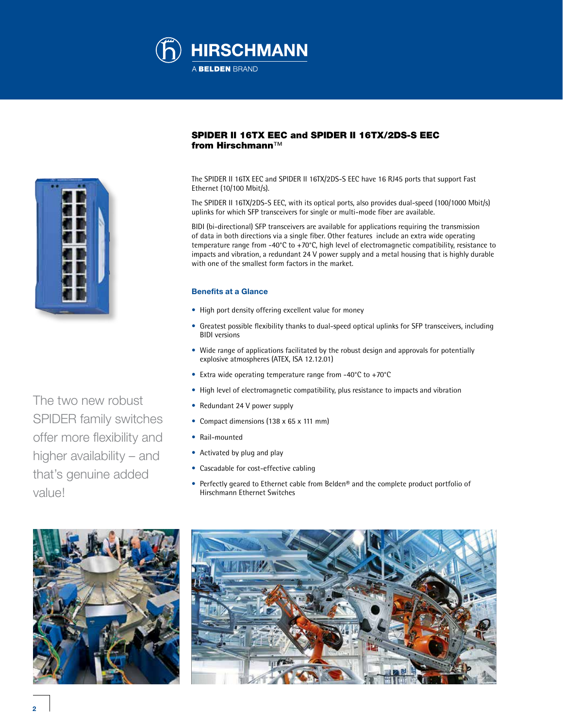



The two new robust SPIDER family switches offer more flexibility and higher availability – and that's genuine added value!

## SPIDER II 16TX EEC and SPIDER II 16TX/2DS-S EEC from Hirschmann™

The SPIDER II 16TX EEC and SPIDER II 16TX/2DS-S EEC have 16 RJ45 ports that support Fast Ethernet (10/100 Mbit/s).

The SPIDER II 16TX/2DS-S EEC, with its optical ports, also provides dual-speed (100/1000 Mbit/s) uplinks for which SFP transceivers for single or multi-mode fiber are available.

BIDI (bi-directional) SFP transceivers are available for applications requiring the transmission of data in both directions via a single fiber. Other features include an extra wide operating temperature range from -40°C to +70°C, high level of electromagnetic compatibility, resistance to impacts and vibration, a redundant 24 V power supply and a metal housing that is highly durable with one of the smallest form factors in the market.

#### **Benefits at a Glance**

- High port density offering excellent value for money
- Greatest possible flexibility thanks to dual-speed optical uplinks for SFP transceivers, including BIDI versions
- Wide range of applications facilitated by the robust design and approvals for potentially explosive atmospheres (ATEX, ISA 12.12.01)
- Extra wide operating temperature range from -40°C to +70°C
- High level of electromagnetic compatibility, plus resistance to impacts and vibration
- Redundant 24 V power supply
- Compact dimensions (138 x 65 x 111 mm)
- Rail-mounted
- Activated by plug and play
- Cascadable for cost-effective cabling
- Perfectly geared to Ethernet cable from Belden® and the complete product portfolio of Hirschmann Ethernet Switches



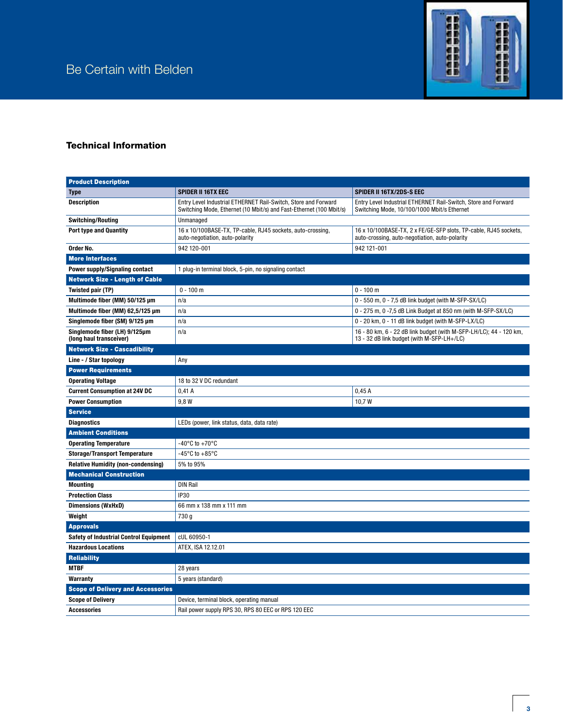

# Technical Information

| <b>Product Description</b>                                                                     |                                                                                                                                       |                                                                                                                    |
|------------------------------------------------------------------------------------------------|---------------------------------------------------------------------------------------------------------------------------------------|--------------------------------------------------------------------------------------------------------------------|
| <b>Type</b>                                                                                    | <b>SPIDER II 16TX EEC</b>                                                                                                             | <b>SPIDER II 16TX/2DS-S EEC</b>                                                                                    |
| <b>Description</b>                                                                             | Entry Level Industrial ETHERNET Rail-Switch, Store and Forward<br>Switching Mode, Ethernet (10 Mbit/s) and Fast-Ethernet (100 Mbit/s) | Entry Level Industrial ETHERNET Rail-Switch, Store and Forward<br>Switching Mode, 10/100/1000 Mbit/s Ethernet      |
| <b>Switching/Routing</b>                                                                       | Unmanaged                                                                                                                             |                                                                                                                    |
| <b>Port type and Quantity</b>                                                                  | 16 x 10/100BASE-TX, TP-cable, RJ45 sockets, auto-crossing,<br>auto-negotiation, auto-polarity                                         | 16 x 10/100BASE-TX, 2 x FE/GE-SFP slots, TP-cable, RJ45 sockets,<br>auto-crossing, auto-negotiation, auto-polarity |
| Order No.                                                                                      | 942 120-001                                                                                                                           | 942 121-001                                                                                                        |
| <b>More Interfaces</b>                                                                         |                                                                                                                                       |                                                                                                                    |
| <b>Power supply/Signaling contact</b><br>1 plug-in terminal block, 5-pin, no signaling contact |                                                                                                                                       |                                                                                                                    |
| <b>Network Size - Length of Cable</b>                                                          |                                                                                                                                       |                                                                                                                    |
| Twisted pair (TP)                                                                              | $0 - 100$ m                                                                                                                           | $0 - 100$ m                                                                                                        |
| Multimode fiber (MM) 50/125 µm                                                                 | n/a                                                                                                                                   | 0 - 550 m, 0 - 7,5 dB link budget (with M-SFP-SX/LC)                                                               |
| Multimode fiber (MM) 62,5/125 µm                                                               | n/a                                                                                                                                   | 0 - 275 m, 0 -7,5 dB Link Budget at 850 nm (with M-SFP-SX/LC)                                                      |
| Singlemode fiber (SM) 9/125 µm                                                                 | n/a                                                                                                                                   | 0 - 20 km, 0 - 11 dB link budget (with M-SFP-LX/LC)                                                                |
| Singlemode fiber (LH) 9/125µm<br>(long haul transceiver)                                       | n/a                                                                                                                                   | 16 - 80 km, 6 - 22 dB link budget (with M-SFP-LH/LC); 44 - 120 km,<br>13 - 32 dB link budget (with M-SFP-LH+/LC)   |
| <b>Network Size - Cascadibility</b>                                                            |                                                                                                                                       |                                                                                                                    |
| Line - / Star topology                                                                         | Any                                                                                                                                   |                                                                                                                    |
| <b>Power Requirements</b>                                                                      |                                                                                                                                       |                                                                                                                    |
| <b>Operating Voltage</b>                                                                       | 18 to 32 V DC redundant                                                                                                               |                                                                                                                    |
| <b>Current Consumption at 24V DC</b>                                                           | 0,41A                                                                                                                                 | 0,45A                                                                                                              |
| <b>Power Consumption</b>                                                                       | 9,8 W                                                                                                                                 | 10,7W                                                                                                              |
| <b>Service</b>                                                                                 |                                                                                                                                       |                                                                                                                    |
| <b>Diagnostics</b>                                                                             | LEDs (power, link status, data, data rate)                                                                                            |                                                                                                                    |
| <b>Ambient Conditions</b>                                                                      |                                                                                                                                       |                                                                                                                    |
| <b>Operating Temperature</b>                                                                   | -40°C to +70°C                                                                                                                        |                                                                                                                    |
| <b>Storage/Transport Temperature</b>                                                           | -45°C to $+85$ °C                                                                                                                     |                                                                                                                    |
| <b>Relative Humidity (non-condensing)</b>                                                      | 5% to 95%                                                                                                                             |                                                                                                                    |
| <b>Mechanical Construction</b>                                                                 |                                                                                                                                       |                                                                                                                    |
| <b>Mounting</b>                                                                                | <b>DIN Rail</b>                                                                                                                       |                                                                                                                    |
| <b>Protection Class</b>                                                                        | <b>IP30</b>                                                                                                                           |                                                                                                                    |
| <b>Dimensions (WxHxD)</b>                                                                      | 66 mm x 138 mm x 111 mm                                                                                                               |                                                                                                                    |
| Weight                                                                                         | 730 g                                                                                                                                 |                                                                                                                    |
| <b>Approvals</b>                                                                               |                                                                                                                                       |                                                                                                                    |
| <b>Safety of Industrial Control Equipment</b>                                                  | cUL 60950-1                                                                                                                           |                                                                                                                    |
| <b>Hazardous Locations</b>                                                                     | ATEX, ISA 12.12.01                                                                                                                    |                                                                                                                    |
| <b>Reliability</b>                                                                             |                                                                                                                                       |                                                                                                                    |
| <b>MTBF</b>                                                                                    | 28 years                                                                                                                              |                                                                                                                    |
| Warranty                                                                                       | 5 years (standard)                                                                                                                    |                                                                                                                    |
| <b>Scope of Delivery and Accessories</b>                                                       |                                                                                                                                       |                                                                                                                    |
| <b>Scope of Delivery</b>                                                                       | Device, terminal block, operating manual                                                                                              |                                                                                                                    |
| <b>Accessories</b>                                                                             | Rail power supply RPS 30, RPS 80 EEC or RPS 120 EEC                                                                                   |                                                                                                                    |